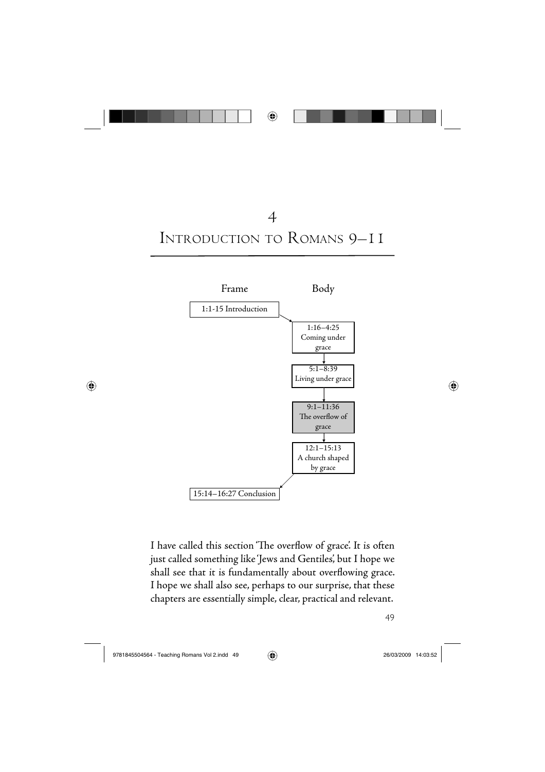





I have called this section 'The overflow of grace'. It is often just called something like 'Jews and Gentiles', but I hope we shall see that it is fundamentally about overflowing grace. I hope we shall also see, perhaps to our surprise, that these chapters are essentially simple, clear, practical and relevant.

49

 $\bigoplus$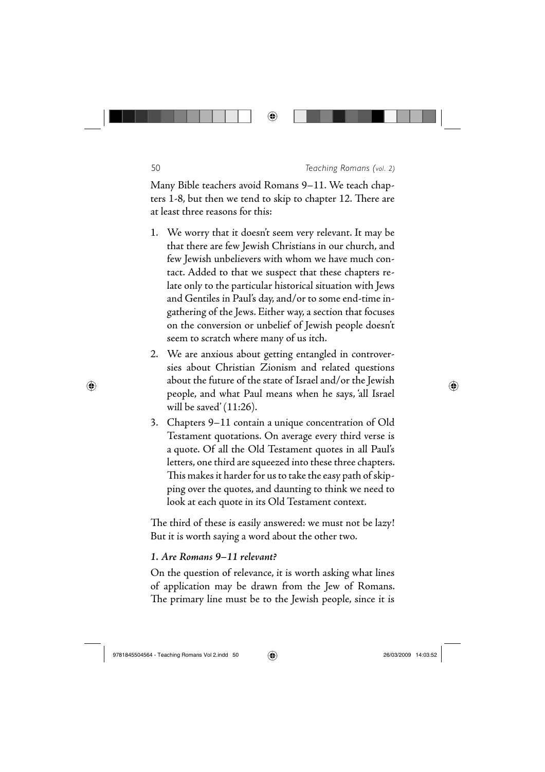#### 50 *Teaching Romans (vol. 2)*

Many Bible teachers avoid Romans 9–11. We teach chapters 1-8, but then we tend to skip to chapter 12. There are at least three reasons for this:

◈

- We worry that it doesn't seem very relevant. It may be 1. that there are few Jewish Christians in our church, and few Jewish unbelievers with whom we have much contact. Added to that we suspect that these chapters relate only to the particular historical situation with Jews and Gentiles in Paul's day, and/or to some end-time ingathering of the Jews. Either way, a section that focuses on the conversion or unbelief of Jewish people doesn't seem to scratch where many of us itch.
- We are anxious about getting entangled in controver-2. sies about Christian Zionism and related questions about the future of the state of Israel and/or the Jewish people, and what Paul means when he says, 'all Israel will be saved' (11:26).
- Chapters 9–11 contain a unique concentration of Old 3. Testament quotations. On average every third verse is a quote. Of all the Old Testament quotes in all Paul's letters, one third are squeezed into these three chapters. This makes it harder for us to take the easy path of skip<sup>p</sup>ing over the quotes, and daunting to think we need to look at each quote in its Old Testament context.

The third of these is easily answered: we must not be lazy! But it is worth saying a word about the other two.

## *1. Are Romans 9–11 relevant?*

On the question of relevance, it is worth asking what lines of application may be drawn from the Jew of Romans. The primary line must be to the Jewish people, since it is

⊕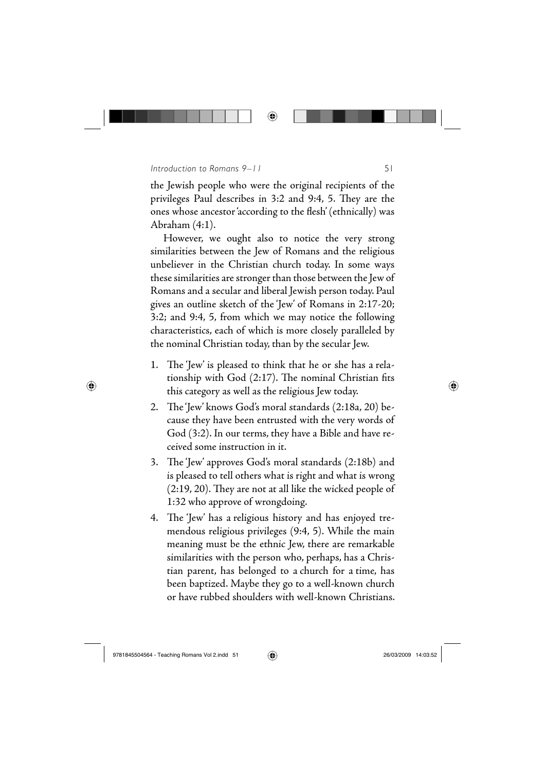### *Introduction to Romans 9–11* 51

the Jewish people who were the original recipients of the privileges Paul describes in 3:2 and 9:4, 5. They are the ones whose ancestor 'according to the flesh' (ethnically) was Abraham (4:1).

◈

However, we ought also to notice the very strong similarities between the Jew of Romans and the religious unbeliever in the Christian church today. In some ways these similarities are stronger than those between the Jew of Romans and a secular and liberal Jewish person today. Paul gives an outline sketch of the 'Jew' of Romans in 2:17-20; 3:2; and 9:4, 5, from which we may notice the following characteristics, each of which is more closely paralleled by the nominal Christian today, than by the secular Jew.

- 1. The 'Jew' is pleased to think that he or she has a relationship with God  $(2:17)$ . The nominal Christian fits this category as well as the religious Jew today.
- 2. The'Jew' knows God's moral standards (2:18a, 20) because they have been entrusted with the very words of God (3:2). In our terms, they have a Bible and have received some instruction in it.
- 3. The 'Jew' approves God's moral standards (2:18b) and is pleased to tell others what is right and what is wrong  $(2:19, 20)$ . They are not at all like the wicked people of 1:32 who approve of wrongdoing.
- 4. The 'Jew' has a religious history and has enjoyed tremendous religious privileges (9:4, 5). While the main meaning must be the ethnic Jew, there are remarkable similarities with the person who, perhaps, has a Christian parent, has belonged to a church for a time, has been baptized. Maybe they go to a well-known church or have rubbed shoulders with well-known Christians.

⊕

⊕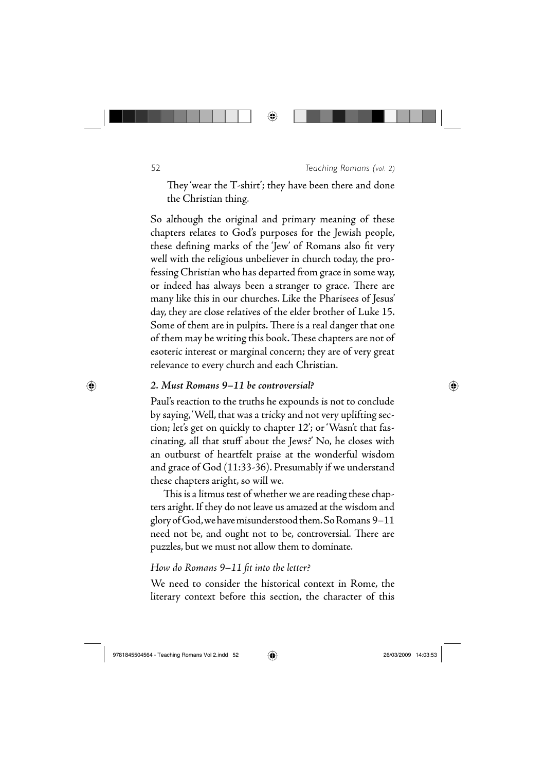52 *Teaching Romans (vol. 2)*

They 'wear the T-shirt'; they have been there and done the Christian thing.

◈

So although the original and primary meaning of these chapters relates to God's purposes for the Jewish people, these defining marks of the 'Jew' of Romans also fit very well with the religious unbeliever in church today, the professing Christian who has departed from grace in some way, or indeed has always been a stranger to grace. There are many like this in our churches. Like the Pharisees of Jesus' day, they are close relatives of the elder brother of Luke 15. Some of them are in pulpits. There is a real danger that one of them may be writing this book. These chapters are not of esoteric interest or marginal concern; they are of very great relevance to every church and each Christian.

#### *2. Must Romans 9–11 be controversial?*

Paul's reaction to the truths he expounds is not to conclude by saying, 'Well, that was a tricky and not very uplifting section; let's get on quickly to chapter 12'; or 'Wasn't that fascinating, all that stuff about the Jews?' No, he closes with an outburst of heartfelt praise at the wonderful wisdom and grace of God (11:33-36). Presumably if we understand these chapters aright, so will we.

This is a litmus test of whether we are reading these chapters aright. If they do not leave us amazed at the wisdom and glory of God, we have misunderstood them. So Romans 9–11 need not be, and ought not to be, controversial. There are puzzles, but we must not allow them to dominate.

# *How do Romans 9–11 fi t into the letter?*

We need to consider the historical context in Rome, the literary context before this section, the character of this

⊕

⊕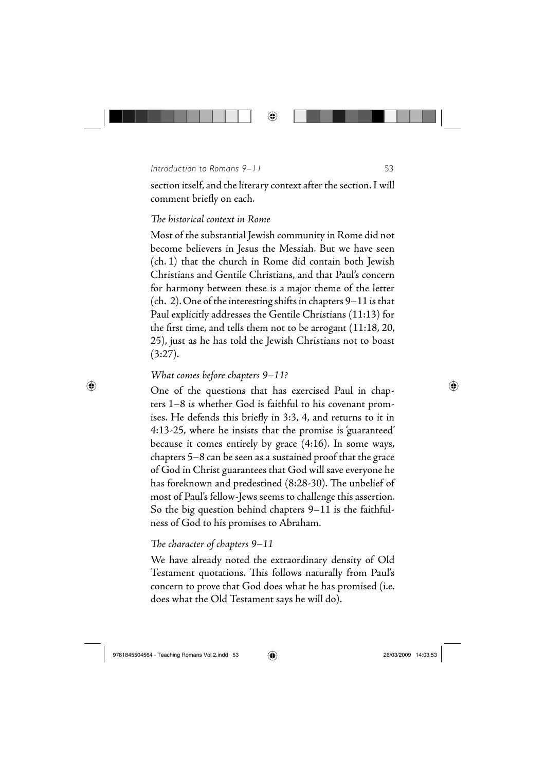*Introduction to Romans 9–11* 53

section itself, and the literary context after the section. I will comment briefly on each.

◈

## *The historical context in Rome*

Most of the substantial Jewish community in Rome did not become believers in Jesus the Messiah. But we have seen (ch. 1) that the church in Rome did contain both Jewish Christians and Gentile Christians, and that Paul's concern for harmony between these is a major theme of the letter (ch. 2). One of the interesting shifts in chapters 9–11 is that Paul explicitly addresses the Gentile Christians (11:13) for the first time, and tells them not to be arrogant  $(11:18, 20, 11)$ 25), just as he has told the Jewish Christians not to boast  $(3:27).$ 

# *What comes before chapters 9–11?*

One of the questions that has exercised Paul in chapters 1–8 is whether God is faithful to his covenant promises. He defends this briefly in 3:3, 4, and returns to it in 4:13-25, where he insists that the promise is 'guaranteed' because it comes entirely by grace (4:16). In some ways, chapters 5–8 can be seen as a sustained proof that the grace of God in Christ guarantees that God will save everyone he has foreknown and predestined (8:28-30). The unbelief of most of Paul's fellow-Jews seems to challenge this assertion. So the big question behind chapters 9–11 is the faithfulness of God to his promises to Abraham.

# The character of chapters  $9-11$

We have already noted the extraordinary density of Old Testament quotations. This follows naturally from Paul's concern to prove that God does what he has promised (i.e. does what the Old Testament says he will do).

 $\bigoplus$ 

⊕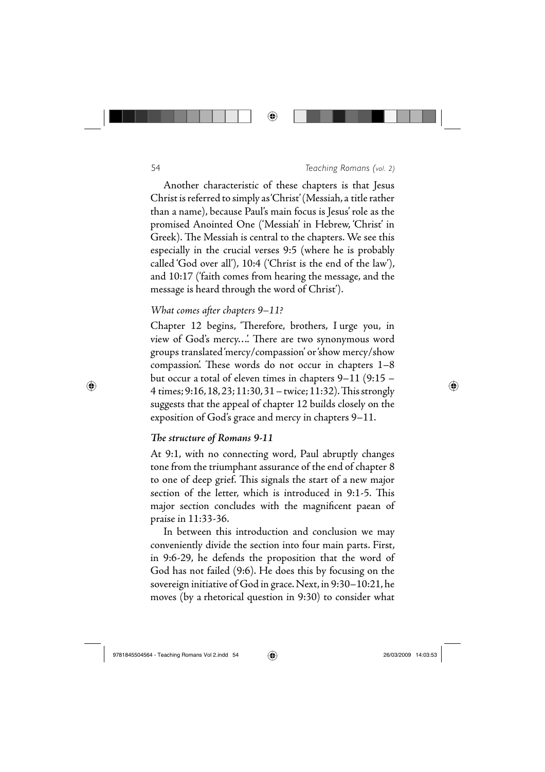

⊕

#### 54 *Teaching Romans (vol. 2)*

Another characteristic of these chapters is that Jesus Christ is referred to simply as 'Christ' (Messiah, a title rather than a name), because Paul's main focus is Jesus' role as the promised Anointed One ('Messiah' in Hebrew, 'Christ' in Greek). The Messiah is central to the chapters. We see this especially in the crucial verses 9:5 (where he is probably called 'God over all'), 10:4 ('Christ is the end of the law'), and 10:17 ('faith comes from hearing the message, and the message is heard through the word of Christ').

### *What comes after chapters 9–11?*

Chapter 12 begins, 'Therefore, brothers, I urge you, in view of God's mercy.... There are two synonymous word groups translated 'mercy/compassion' or 'show mercy/show compassion'. These words do not occur in chapters  $1-8$ but occur a total of eleven times in chapters 9–11 (9:15 – 4 times; 9:16, 18, 23; 11:30, 31 – twice; 11:32). This strongly suggests that the appeal of chapter 12 builds closely on the exposition of God's grace and mercy in chapters 9–11.

## **The structure of Romans 9-11**

At 9:1, with no connecting word, Paul abruptly changes tone from the triumphant assurance of the end of chapter 8 to one of deep grief. This signals the start of a new major section of the letter, which is introduced in 9:1-5. This major section concludes with the magnificent paean of praise in 11:33-36.

In between this introduction and conclusion we may conveniently divide the section into four main parts. First, in 9:6-29, he defends the proposition that the word of God has not failed (9:6). He does this by focusing on the sovereign initiative of God in grace. Next, in 9:30–10:21, he moves (by a rhetorical question in 9:30) to consider what